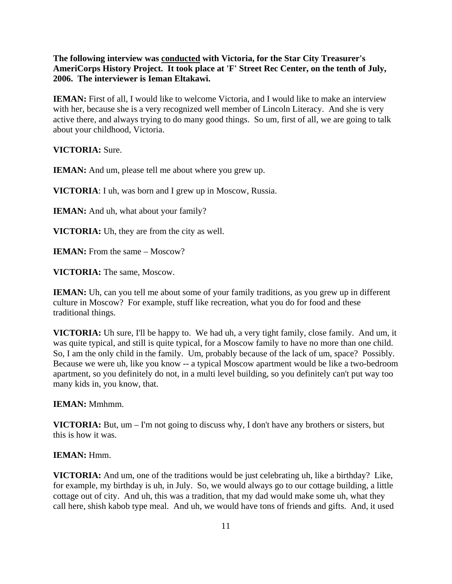**The following interview was conducted with Victoria, for the Star City Treasurer's AmeriCorps History Project. It took place at 'F' Street Rec Center, on the tenth of July, 2006. The interviewer is Ieman Eltakawi.** 

**IEMAN:** First of all, I would like to welcome Victoria, and I would like to make an interview with her, because she is a very recognized well member of Lincoln Literacy. And she is very active there, and always trying to do many good things. So um, first of all, we are going to talk about your childhood, Victoria.

**VICTORIA:** Sure.

**IEMAN:** And um, please tell me about where you grew up.

**VICTORIA**: I uh, was born and I grew up in Moscow, Russia.

**IEMAN:** And uh, what about your family?

**VICTORIA:** Uh, they are from the city as well.

**IEMAN:** From the same – Moscow?

**VICTORIA:** The same, Moscow.

**IEMAN:** Uh, can you tell me about some of your family traditions, as you grew up in different culture in Moscow? For example, stuff like recreation, what you do for food and these traditional things.

**VICTORIA:** Uh sure, I'll be happy to. We had uh, a very tight family, close family. And um, it was quite typical, and still is quite typical, for a Moscow family to have no more than one child. So, I am the only child in the family. Um, probably because of the lack of um, space? Possibly. Because we were uh, like you know -- a typical Moscow apartment would be like a two-bedroom apartment, so you definitely do not, in a multi level building, so you definitely can't put way too many kids in, you know, that.

**IEMAN:** Mmhmm.

**VICTORIA:** But, um – I'm not going to discuss why, I don't have any brothers or sisters, but this is how it was.

**IEMAN:** Hmm.

**VICTORIA:** And um, one of the traditions would be just celebrating uh, like a birthday? Like, for example, my birthday is uh, in July. So, we would always go to our cottage building, a little cottage out of city. And uh, this was a tradition, that my dad would make some uh, what they call here, shish kabob type meal. And uh, we would have tons of friends and gifts. And, it used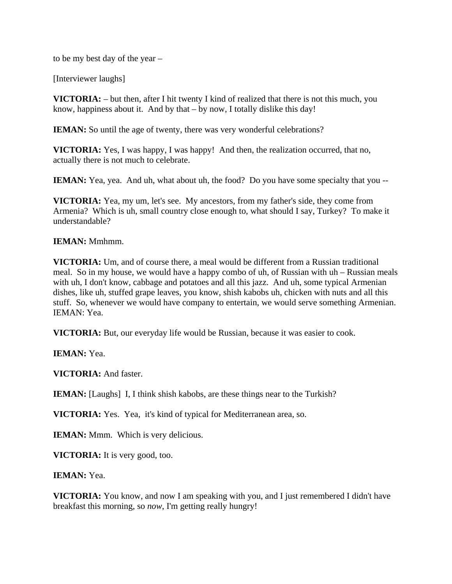to be my best day of the year –

[Interviewer laughs]

**VICTORIA:** – but then, after I hit twenty I kind of realized that there is not this much, you know, happiness about it. And by that – by now, I totally dislike this day!

**IEMAN:** So until the age of twenty, there was very wonderful celebrations?

**VICTORIA:** Yes, I was happy, I was happy! And then, the realization occurred, that no, actually there is not much to celebrate.

**IEMAN:** Yea, yea. And uh, what about uh, the food? Do you have some specialty that you --

**VICTORIA:** Yea, my um, let's see. My ancestors, from my father's side, they come from Armenia? Which is uh, small country close enough to, what should I say, Turkey? To make it understandable?

## **IEMAN:** Mmhmm.

**VICTORIA:** Um, and of course there, a meal would be different from a Russian traditional meal. So in my house, we would have a happy combo of uh, of Russian with uh – Russian meals with uh, I don't know, cabbage and potatoes and all this jazz. And uh, some typical Armenian dishes, like uh, stuffed grape leaves, you know, shish kabobs uh, chicken with nuts and all this stuff. So, whenever we would have company to entertain, we would serve something Armenian. IEMAN: Yea.

**VICTORIA:** But, our everyday life would be Russian, because it was easier to cook.

**IEMAN:** Yea.

**VICTORIA:** And faster.

**IEMAN:** [Laughs] I, I think shish kabobs, are these things near to the Turkish?

**VICTORIA:** Yes. Yea, it's kind of typical for Mediterranean area, so.

**IEMAN:** Mmm. Which is very delicious.

**VICTORIA:** It is very good, too.

**IEMAN:** Yea.

**VICTORIA:** You know, and now I am speaking with you, and I just remembered I didn't have breakfast this morning, so *now*, I'm getting really hungry!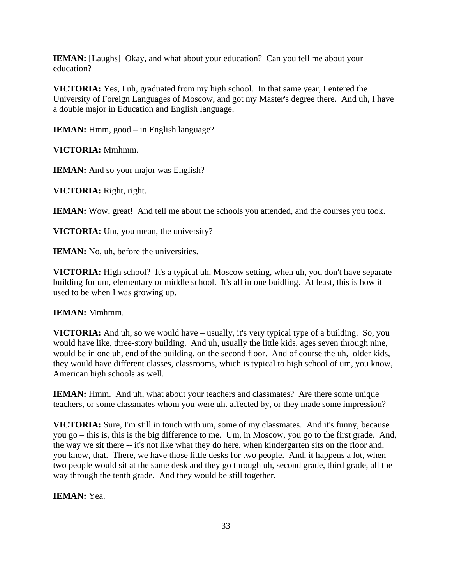**IEMAN:** [Laughs] Okay, and what about your education? Can you tell me about your education?

**VICTORIA:** Yes, I uh, graduated from my high school. In that same year, I entered the University of Foreign Languages of Moscow, and got my Master's degree there. And uh, I have a double major in Education and English language.

**IEMAN:** Hmm, good – in English language?

**VICTORIA:** Mmhmm.

**IEMAN:** And so your major was English?

**VICTORIA:** Right, right.

**IEMAN:** Wow, great! And tell me about the schools you attended, and the courses you took.

**VICTORIA:** Um, you mean, the university?

**IEMAN:** No, uh, before the universities.

**VICTORIA:** High school? It's a typical uh, Moscow setting, when uh, you don't have separate building for um, elementary or middle school. It's all in one buidling. At least, this is how it used to be when I was growing up.

**IEMAN:** Mmhmm.

**VICTORIA:** And uh, so we would have – usually, it's very typical type of a building. So, you would have like, three-story building. And uh, usually the little kids, ages seven through nine, would be in one uh, end of the building, on the second floor. And of course the uh, older kids, they would have different classes, classrooms, which is typical to high school of um, you know, American high schools as well.

**IEMAN:** Hmm. And uh, what about your teachers and classmates? Are there some unique teachers, or some classmates whom you were uh. affected by, or they made some impression?

**VICTORIA:** Sure, I'm still in touch with um, some of my classmates. And it's funny, because you go – this is, this is the big difference to me. Um, in Moscow, you go to the first grade. And, the way we sit there -- it's not like what they do here, when kindergarten sits on the floor and, you know, that. There, we have those little desks for two people. And, it happens a lot, when two people would sit at the same desk and they go through uh, second grade, third grade, all the way through the tenth grade. And they would be still together.

**IEMAN:** Yea.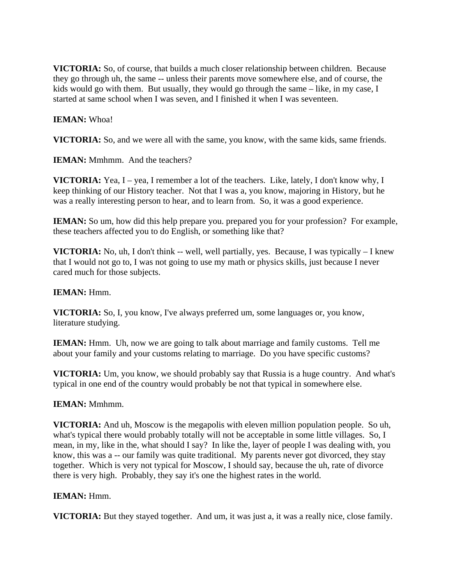**VICTORIA:** So, of course, that builds a much closer relationship between children. Because they go through uh, the same -- unless their parents move somewhere else, and of course, the kids would go with them. But usually, they would go through the same – like, in my case, I started at same school when I was seven, and I finished it when I was seventeen.

# **IEMAN:** Whoa!

**VICTORIA:** So, and we were all with the same, you know, with the same kids, same friends.

**IEMAN:** Mmhmm. And the teachers?

**VICTORIA:** Yea, I – yea, I remember a lot of the teachers. Like, lately, I don't know why, I keep thinking of our History teacher. Not that I was a, you know, majoring in History, but he was a really interesting person to hear, and to learn from. So, it was a good experience.

**IEMAN:** So um, how did this help prepare you. prepared you for your profession? For example, these teachers affected you to do English, or something like that?

**VICTORIA:** No, uh, I don't think -- well, well partially, yes. Because, I was typically – I knew that I would not go to, I was not going to use my math or physics skills, just because I never cared much for those subjects.

## **IEMAN:** Hmm.

**VICTORIA:** So, I, you know, I've always preferred um, some languages or, you know, literature studying.

**IEMAN:** Hmm. Uh, now we are going to talk about marriage and family customs. Tell me about your family and your customs relating to marriage. Do you have specific customs?

**VICTORIA:** Um, you know, we should probably say that Russia is a huge country. And what's typical in one end of the country would probably be not that typical in somewhere else.

## **IEMAN:** Mmhmm.

**VICTORIA:** And uh, Moscow is the megapolis with eleven million population people. So uh, what's typical there would probably totally will not be acceptable in some little villages. So, I mean, in my, like in the, what should I say? In like the, layer of people I was dealing with, you know, this was a -- our family was quite traditional. My parents never got divorced, they stay together. Which is very not typical for Moscow, I should say, because the uh, rate of divorce there is very high. Probably, they say it's one the highest rates in the world.

## **IEMAN:** Hmm.

**VICTORIA:** But they stayed together. And um, it was just a, it was a really nice, close family.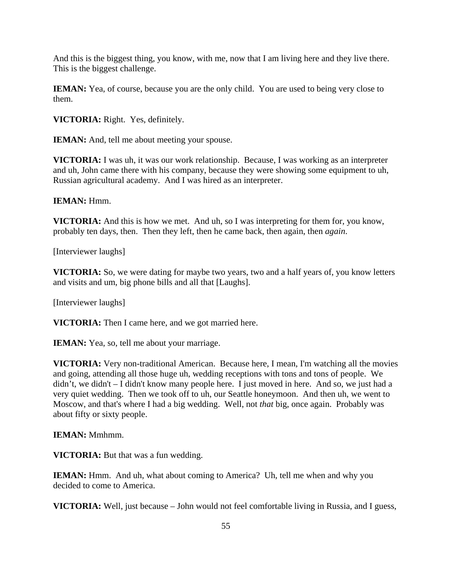And this is the biggest thing, you know, with me, now that I am living here and they live there. This is the biggest challenge.

**IEMAN:** Yea, of course, because you are the only child. You are used to being very close to them.

**VICTORIA:** Right. Yes, definitely.

**IEMAN:** And, tell me about meeting your spouse.

**VICTORIA:** I was uh, it was our work relationship. Because, I was working as an interpreter and uh, John came there with his company, because they were showing some equipment to uh, Russian agricultural academy. And I was hired as an interpreter.

**IEMAN:** Hmm.

**VICTORIA:** And this is how we met. And uh, so I was interpreting for them for, you know, probably ten days, then. Then they left, then he came back, then again, then *again*.

[Interviewer laughs]

**VICTORIA:** So, we were dating for maybe two years, two and a half years of, you know letters and visits and um, big phone bills and all that [Laughs].

[Interviewer laughs]

**VICTORIA:** Then I came here, and we got married here.

**IEMAN:** Yea, so, tell me about your marriage.

**VICTORIA:** Very non-traditional American. Because here, I mean, I'm watching all the movies and going, attending all those huge uh, wedding receptions with tons and tons of people. We didn't, we didn't – I didn't know many people here. I just moved in here. And so, we just had a very quiet wedding. Then we took off to uh, our Seattle honeymoon. And then uh, we went to Moscow, and that's where I had a big wedding. Well, not *that* big, once again. Probably was about fifty or sixty people.

**IEMAN:** Mmhmm.

**VICTORIA:** But that was a fun wedding.

**IEMAN:** Hmm. And uh, what about coming to America? Uh, tell me when and why you decided to come to America.

**VICTORIA:** Well, just because – John would not feel comfortable living in Russia, and I guess,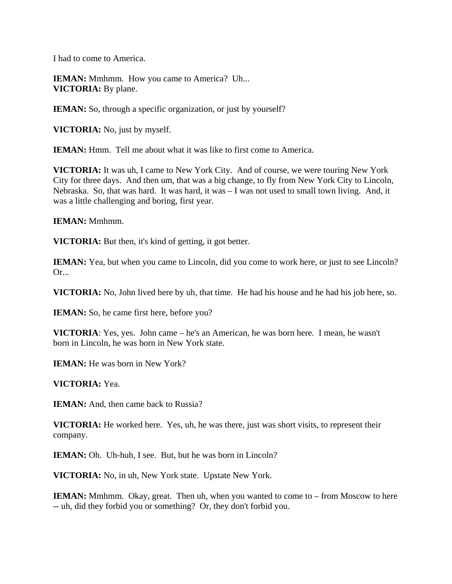I had to come to America.

**IEMAN:** Mmhmm. How you came to America? Uh... **VICTORIA:** By plane.

**IEMAN:** So, through a specific organization, or just by yourself?

**VICTORIA:** No, just by myself.

**IEMAN:** Hmm. Tell me about what it was like to first come to America.

**VICTORIA:** It was uh, I came to New York City. And of course, we were touring New York City for three days. And then um, that was a big change, to fly from New York City to Lincoln, Nebraska. So, that was hard. It was hard, it was – I was not used to small town living. And, it was a little challenging and boring, first year.

**IEMAN:** Mmhmm.

**VICTORIA:** But then, it's kind of getting, it got better.

**IEMAN:** Yea, but when you came to Lincoln, did you come to work here, or just to see Lincoln? Or...

**VICTORIA:** No, John lived here by uh, that time. He had his house and he had his job here, so.

**IEMAN:** So, he came first here, before you?

**VICTORIA**: Yes, yes. John came – he's an American, he was born here. I mean, he wasn't born in Lincoln, he was born in New York state.

**IEMAN:** He was born in New York?

**VICTORIA:** Yea.

**IEMAN:** And, then came back to Russia?

**VICTORIA:** He worked here. Yes, uh, he was there, just was short visits, to represent their company.

**IEMAN:** Oh. Uh-huh, I see. But, but he was born in Lincoln?

**VICTORIA:** No, in uh, New York state. Upstate New York.

**IEMAN:** Mmhmm. Okay, great. Then uh, when you wanted to come to – from Moscow to here -- uh, did they forbid you or something? Or, they don't forbid you.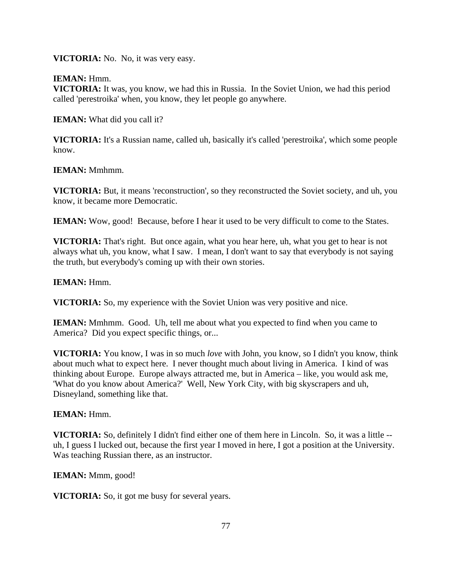**VICTORIA:** No. No, it was very easy.

**IEMAN:** Hmm.

**VICTORIA:** It was, you know, we had this in Russia. In the Soviet Union, we had this period called 'perestroika' when, you know, they let people go anywhere.

**IEMAN:** What did you call it?

**VICTORIA:** It's a Russian name, called uh, basically it's called 'perestroika', which some people know.

**IEMAN:** Mmhmm.

**VICTORIA:** But, it means 'reconstruction', so they reconstructed the Soviet society, and uh, you know, it became more Democratic.

**IEMAN:** Wow, good! Because, before I hear it used to be very difficult to come to the States.

**VICTORIA:** That's right. But once again, what you hear here, uh, what you get to hear is not always what uh, you know, what I saw. I mean, I don't want to say that everybody is not saying the truth, but everybody's coming up with their own stories.

**IEMAN:** Hmm.

**VICTORIA:** So, my experience with the Soviet Union was very positive and nice.

**IEMAN:** Mmhmm. Good. Uh, tell me about what you expected to find when you came to America? Did you expect specific things, or...

**VICTORIA:** You know, I was in so much *love* with John, you know, so I didn't you know, think about much what to expect here. I never thought much about living in America. I kind of was thinking about Europe. Europe always attracted me, but in America – like, you would ask me, 'What do you know about America?' Well, New York City, with big skyscrapers and uh, Disneyland, something like that.

## **IEMAN:** Hmm.

**VICTORIA:** So, definitely I didn't find either one of them here in Lincoln. So, it was a little - uh, I guess I lucked out, because the first year I moved in here, I got a position at the University. Was teaching Russian there, as an instructor.

**IEMAN:** Mmm, good!

**VICTORIA:** So, it got me busy for several years.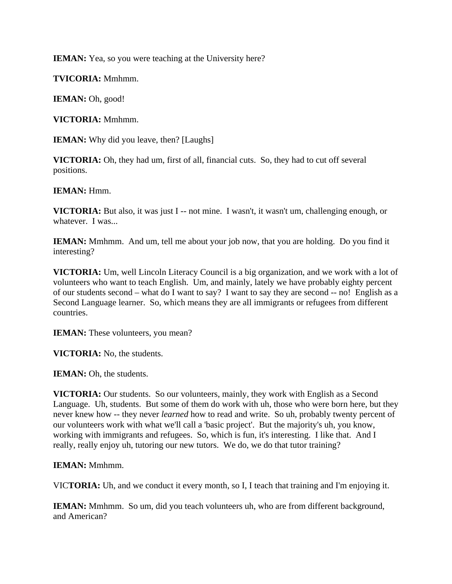**IEMAN:** Yea, so you were teaching at the University here?

**TVICORIA:** Mmhmm.

**IEMAN:** Oh, good!

**VICTORIA:** Mmhmm.

**IEMAN:** Why did you leave, then? [Laughs]

**VICTORIA:** Oh, they had um, first of all, financial cuts. So, they had to cut off several positions.

**IEMAN:** Hmm.

**VICTORIA:** But also, it was just I -- not mine. I wasn't, it wasn't um, challenging enough, or whatever. I was...

**IEMAN:** Mmhmm. And um, tell me about your job now, that you are holding. Do you find it interesting?

**VICTORIA:** Um, well Lincoln Literacy Council is a big organization, and we work with a lot of volunteers who want to teach English. Um, and mainly, lately we have probably eighty percent of our students second – what do I want to say? I want to say they are second -- no! English as a Second Language learner. So, which means they are all immigrants or refugees from different countries.

**IEMAN:** These volunteers, you mean?

**VICTORIA:** No, the students.

**IEMAN:** Oh, the students.

**VICTORIA:** Our students. So our volunteers, mainly, they work with English as a Second Language. Uh, students. But some of them do work with uh, those who were born here, but they never knew how -- they never *learned* how to read and write. So uh, probably twenty percent of our volunteers work with what we'll call a 'basic project'. But the majority's uh, you know, working with immigrants and refugees. So, which is fun, it's interesting. I like that. And I really, really enjoy uh, tutoring our new tutors. We do, we do that tutor training?

**IEMAN:** Mmhmm.

VIC**TORIA:** Uh, and we conduct it every month, so I, I teach that training and I'm enjoying it.

**IEMAN:** Mmhmm. So um, did you teach volunteers uh, who are from different background, and American?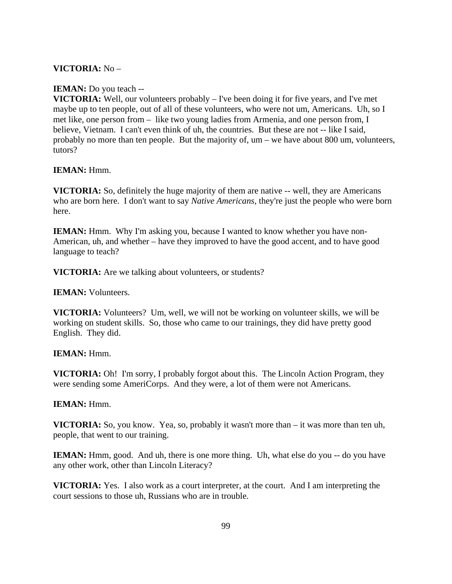## **VICTORIA:** No –

#### **IEMAN:** Do you teach --

**VICTORIA:** Well, our volunteers probably – I've been doing it for five years, and I've met maybe up to ten people, out of all of these volunteers, who were not um, Americans. Uh, so I met like, one person from – like two young ladies from Armenia, and one person from, I believe, Vietnam. I can't even think of uh, the countries. But these are not -- like I said, probably no more than ten people. But the majority of, um – we have about 800 um, volunteers, tutors?

#### **IEMAN:** Hmm.

**VICTORIA:** So, definitely the huge majority of them are native -- well, they are Americans who are born here. I don't want to say *Native Americans*, they're just the people who were born here.

**IEMAN:** Hmm. Why I'm asking you, because I wanted to know whether you have non-American, uh, and whether – have they improved to have the good accent, and to have good language to teach?

**VICTORIA:** Are we talking about volunteers, or students?

**IEMAN:** Volunteers.

**VICTORIA:** Volunteers? Um, well, we will not be working on volunteer skills, we will be working on student skills. So, those who came to our trainings, they did have pretty good English. They did.

#### **IEMAN:** Hmm.

**VICTORIA:** Oh! I'm sorry, I probably forgot about this. The Lincoln Action Program, they were sending some AmeriCorps. And they were, a lot of them were not Americans.

#### **IEMAN:** Hmm.

**VICTORIA:** So, you know. Yea, so, probably it wasn't more than – it was more than ten uh, people, that went to our training.

**IEMAN:** Hmm, good. And uh, there is one more thing. Uh, what else do you -- do you have any other work, other than Lincoln Literacy?

**VICTORIA:** Yes. I also work as a court interpreter, at the court. And I am interpreting the court sessions to those uh, Russians who are in trouble.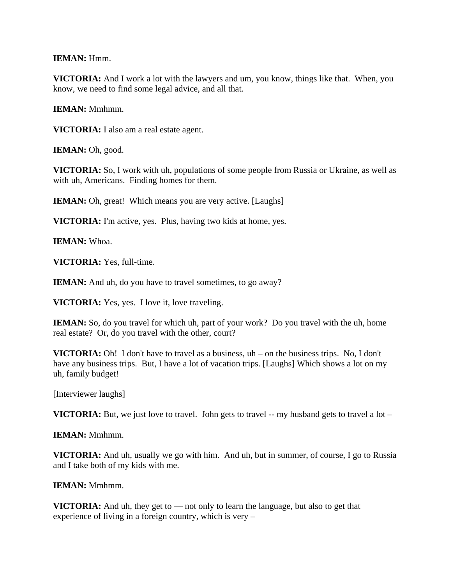**IEMAN:** Hmm.

**VICTORIA:** And I work a lot with the lawyers and um, you know, things like that. When, you know, we need to find some legal advice, and all that.

**IEMAN:** Mmhmm.

**VICTORIA:** I also am a real estate agent.

IEMAN: Oh, good.

**VICTORIA:** So, I work with uh, populations of some people from Russia or Ukraine, as well as with uh, Americans. Finding homes for them.

**IEMAN:** Oh, great! Which means you are very active. [Laughs]

**VICTORIA:** I'm active, yes. Plus, having two kids at home, yes.

**IEMAN:** Whoa.

**VICTORIA:** Yes, full-time.

**IEMAN:** And uh, do you have to travel sometimes, to go away?

**VICTORIA:** Yes, yes. I love it, love traveling.

**IEMAN:** So, do you travel for which uh, part of your work? Do you travel with the uh, home real estate? Or, do you travel with the other, court?

**VICTORIA:** Oh! I don't have to travel as a business, uh – on the business trips. No, I don't have any business trips. But, I have a lot of vacation trips. [Laughs] Which shows a lot on my uh, family budget!

[Interviewer laughs]

**VICTORIA:** But, we just love to travel. John gets to travel  $-$ - my husband gets to travel a lot  $-$ 

**IEMAN:** Mmhmm.

**VICTORIA:** And uh, usually we go with him. And uh, but in summer, of course, I go to Russia and I take both of my kids with me.

**IEMAN:** Mmhmm.

**VICTORIA:** And uh, they get to — not only to learn the language, but also to get that experience of living in a foreign country, which is very –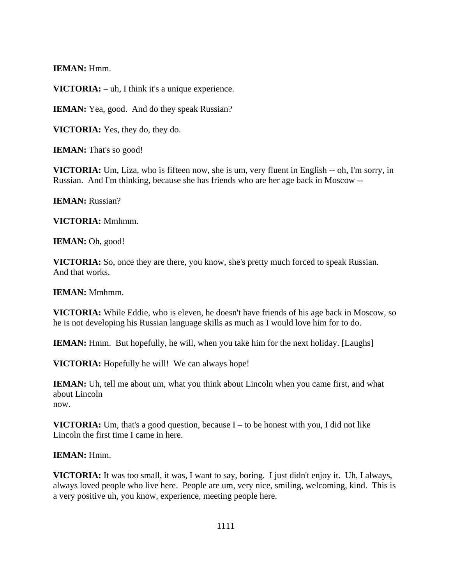**IEMAN:** Hmm.

**VICTORIA:** – uh, I think it's a unique experience.

**IEMAN:** Yea, good. And do they speak Russian?

**VICTORIA:** Yes, they do, they do.

**IEMAN:** That's so good!

**VICTORIA:** Um, Liza, who is fifteen now, she is um, very fluent in English -- oh, I'm sorry, in Russian. And I'm thinking, because she has friends who are her age back in Moscow --

**IEMAN:** Russian?

**VICTORIA:** Mmhmm.

**IEMAN:** Oh, good!

**VICTORIA:** So, once they are there, you know, she's pretty much forced to speak Russian. And that works.

**IEMAN:** Mmhmm.

**VICTORIA:** While Eddie, who is eleven, he doesn't have friends of his age back in Moscow, so he is not developing his Russian language skills as much as I would love him for to do.

**IEMAN:** Hmm. But hopefully, he will, when you take him for the next holiday. [Laughs]

**VICTORIA:** Hopefully he will! We can always hope!

**IEMAN:** Uh, tell me about um, what you think about Lincoln when you came first, and what about Lincoln now.

**VICTORIA:** Um, that's a good question, because I – to be honest with you, I did not like Lincoln the first time I came in here.

**IEMAN:** Hmm.

**VICTORIA:** It was too small, it was, I want to say, boring. I just didn't enjoy it. Uh, I always, always loved people who live here. People are um, very nice, smiling, welcoming, kind. This is a very positive uh, you know, experience, meeting people here.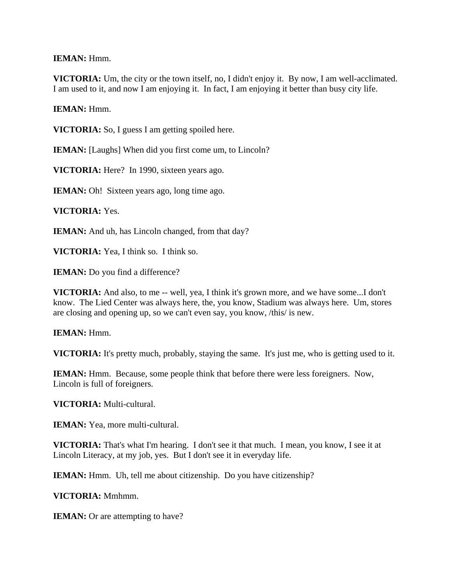**IEMAN:** Hmm.

**VICTORIA:** Um, the city or the town itself, no, I didn't enjoy it. By now, I am well-acclimated. I am used to it, and now I am enjoying it. In fact, I am enjoying it better than busy city life.

**IEMAN:** Hmm.

**VICTORIA:** So, I guess I am getting spoiled here.

**IEMAN:** [Laughs] When did you first come um, to Lincoln?

**VICTORIA:** Here? In 1990, sixteen years ago.

**IEMAN:** Oh! Sixteen years ago, long time ago.

**VICTORIA:** Yes.

**IEMAN:** And uh, has Lincoln changed, from that day?

**VICTORIA:** Yea, I think so. I think so.

**IEMAN:** Do you find a difference?

**VICTORIA:** And also, to me -- well, yea, I think it's grown more, and we have some...I don't know. The Lied Center was always here, the, you know, Stadium was always here. Um, stores are closing and opening up, so we can't even say, you know, /this/ is new.

**IEMAN:** Hmm.

**VICTORIA:** It's pretty much, probably, staying the same. It's just me, who is getting used to it.

**IEMAN:** Hmm. Because, some people think that before there were less foreigners. Now, Lincoln is full of foreigners.

**VICTORIA:** Multi-cultural.

**IEMAN:** Yea, more multi-cultural.

**VICTORIA:** That's what I'm hearing. I don't see it that much. I mean, you know, I see it at Lincoln Literacy, at my job, yes. But I don't see it in everyday life.

**IEMAN:** Hmm. Uh, tell me about citizenship. Do you have citizenship?

**VICTORIA:** Mmhmm.

**IEMAN:** Or are attempting to have?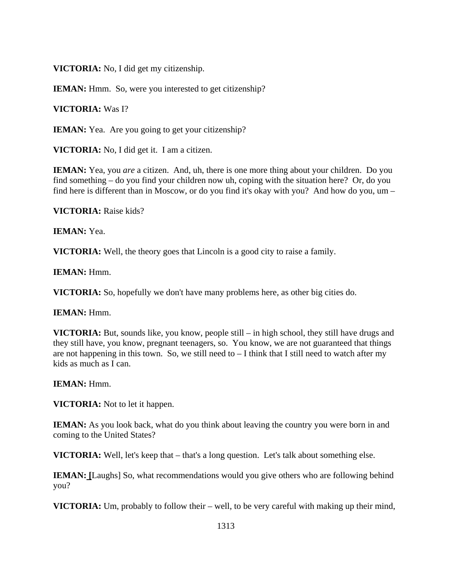**VICTORIA:** No, I did get my citizenship.

**IEMAN:** Hmm. So, were you interested to get citizenship?

**VICTORIA:** Was I?

**IEMAN:** Yea. Are you going to get your citizenship?

**VICTORIA:** No, I did get it. I am a citizen.

**IEMAN:** Yea, you *are* a citizen. And, uh, there is one more thing about your children. Do you find something – do you find your children now uh, coping with the situation here? Or, do you find here is different than in Moscow, or do you find it's okay with you? And how do you, um –

**VICTORIA:** Raise kids?

**IEMAN:** Yea.

**VICTORIA:** Well, the theory goes that Lincoln is a good city to raise a family.

**IEMAN:** Hmm.

**VICTORIA:** So, hopefully we don't have many problems here, as other big cities do.

**IEMAN:** Hmm.

**VICTORIA:** But, sounds like, you know, people still – in high school, they still have drugs and they still have, you know, pregnant teenagers, so. You know, we are not guaranteed that things are not happening in this town. So, we still need to  $-I$  think that I still need to watch after my kids as much as I can.

**IEMAN:** Hmm.

**VICTORIA:** Not to let it happen.

**IEMAN:** As you look back, what do you think about leaving the country you were born in and coming to the United States?

**VICTORIA:** Well, let's keep that – that's a long question. Let's talk about something else.

**IEMAN: [**Laughs] So, what recommendations would you give others who are following behind you?

**VICTORIA:** Um, probably to follow their – well, to be very careful with making up their mind,